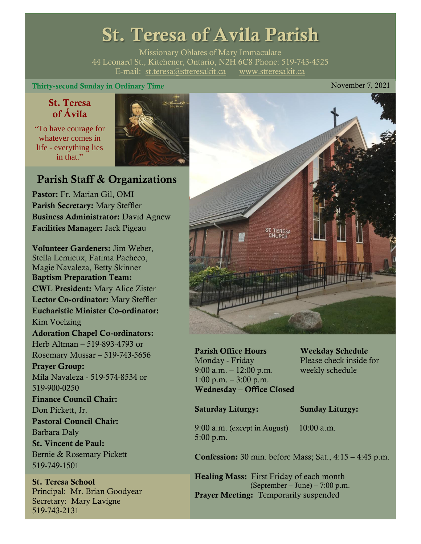# St. Teresa of Avila Parish

Missionary Oblates of Mary Immaculate 44 Leonard St., Kitchener, Ontario, N2H 6C8 Phone: 519-743-4525 E-mail: [st.teresa@stteresakit.ca](mailto:st.teresa@stteresakit.ca) [www.stteresakit.ca](http://www.stteresakit.ca/)

### Thirty-second Sunday in Ordinary Time November 7, 2021

# St. Teresa of Ávila

"To have courage for whatever comes in life - everything lies in that"



# Parish Staff & Organizations

Pastor: Fr. Marian Gil, OMI Parish Secretary: Mary Steffler Business Administrator: David Agnew Facilities Manager: Jack Pigeau

Volunteer Gardeners: Jim Weber, Stella Lemieux, Fatima Pacheco, Magie Navaleza, Betty Skinner Baptism Preparation Team: CWL President: Mary Alice Zister Lector Co-ordinator: Mary Steffler Eucharistic Minister Co-ordinator: Kim Voelzing Adoration Chapel Co-ordinators: Herb Altman – 519-893-4793 or Rosemary Mussar – 519-743-5656 Prayer Group: Mila Navaleza - 519-574-8534 or 519-900-0250 Finance Council Chair: Don Pickett, Jr. Pastoral Council Chair: Barbara Daly St. Vincent de Paul: Bernie & Rosemary Pickett 519-749-1501

St. Teresa School Principal: Mr. Brian Goodyear Secretary: Mary Lavigne 519-743-2131



Parish Office Hours Weekday Schedule Monday - Friday Please check inside for 9:00 a.m. – 12:00 p.m. weekly schedule  $1:00 \text{ p.m.} - 3:00 \text{ p.m.}$ Wednesday – Office Closed

#### Saturday Liturgy: Sunday Liturgy:

9:00 a.m. (except in August) 10:00 a.m. 5:00 p.m.

Confession: 30 min. before Mass; Sat., 4:15 – 4:45 p.m.

Healing Mass: First Friday of each month (September – June) – 7:00 p.m. Prayer Meeting: Temporarily suspended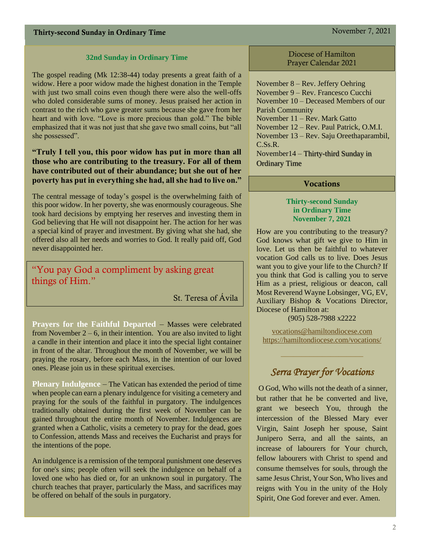#### **32nd Sunday in Ordinary Time**

The gospel reading (Mk 12:38-44) today presents a great faith of a widow. Here a poor widow made the highest donation in the Temple with just two small coins even though there were also the well-offs who doled considerable sums of money. Jesus praised her action in contrast to the rich who gave greater sums because she gave from her heart and with love. "Love is more precious than gold." The bible emphasized that it was not just that she gave two small coins, but "all she possessed".

### **"Truly I tell you, this poor widow has put in more than all those who are contributing to the treasury. For all of them have contributed out of their abundance; but she out of her poverty has put in everything she had, all she had to live on."**

The central message of today's gospel is the overwhelming faith of this poor widow. In her poverty, she was enormously courageous. She took hard decisions by emptying her reserves and investing them in God believing that He will not disappoint her. The action for her was a special kind of prayer and investment. By giving what she had, she offered also all her needs and worries to God. It really paid off, God never disappointed her.

"You pay God a compliment by asking great things of Him."

St. Teresa of Ávila

**Prayers for the Faithful Departed** – Masses were celebrated from November  $2 - 6$ , in their intention. You are also invited to light a candle in their intention and place it into the special light container in front of the altar. Throughout the month of November, we will be praying the rosary, before each Mass, in the intention of our loved ones. Please join us in these spiritual exercises.

**Plenary Indulgence** – The Vatican has extended the period of time when people can earn a plenary indulgence for visiting a cemetery and praying for the souls of the faithful in purgatory. The indulgences traditionally obtained during the first week of November can be gained throughout the entire month of November. Indulgences are granted when a Catholic, visits a cemetery to pray for the dead, goes to Confession, attends Mass and receives the Eucharist and prays for the intentions of the pope.

An indulgence is a remission of the temporal punishment one deserves for one's sins; people often will seek the indulgence on behalf of a loved one who has died or, for an unknown soul in purgatory. The church teaches that prayer, particularly the Mass, and sacrifices may be offered on behalf of the souls in purgatory.

Diocese of Hamilton Prayer Calendar 2021

November 8 – Rev. Jeffery Oehring November 9 – Rev. Francesco Cucchi November 10 – Deceased Members of our Parish Community November 11 – Rev. Mark Gatto November 12 – Rev. Paul Patrick, O.M.I. November 13 – Rev. Saju Oreethaparambil, C.Ss.R. November14 – Thirty-third Sunday in Ordinary Time

#### Vocations

#### **Thirty-second Sunday in Ordinary Time November 7, 2021**

How are you contributing to the treasury? God knows what gift we give to Him in love. Let us then be faithful to whatever vocation God calls us to live. Does Jesus want you to give your life to the Church? If you think that God is calling you to serve Him as a priest, religious or deacon, call Most Reverend Wayne Lobsinger, VG, EV, Auxiliary Bishop & Vocations Director, Diocese of Hamilton at:

(905) 528-7988 x2222

[vocations@hamiltondiocese.com](mailto:vocations@hamiltondiocese.com)  <https://hamiltondiocese.com/vocations/>

# *Serra Prayer for Vocations*

O God, Who wills not the death of a sinner, but rather that he be converted and live, grant we beseech You, through the intercession of the Blessed Mary ever Virgin, Saint Joseph her spouse, Saint Junipero Serra, and all the saints, an increase of labourers for Your church, fellow labourers with Christ to spend and consume themselves for souls, through the same Jesus Christ, Your Son, Who lives and reigns with You in the unity of the Holy Spirit, One God forever and ever. Amen.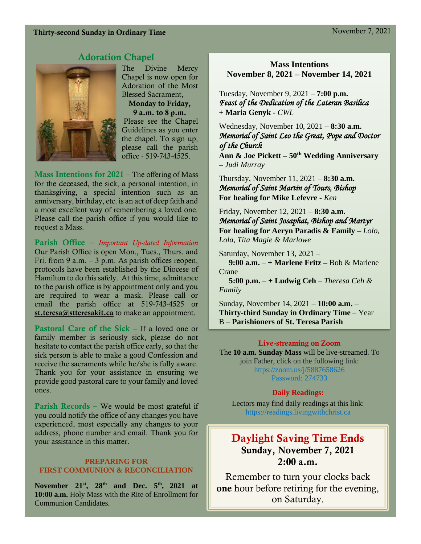# Adoration Chapel



The Divine Mercy Chapel is now open for Adoration of the Most Blessed Sacrament, Monday to Friday, 9 a.m. to 8 p.m. Please see the Chapel Guidelines as you enter the chapel. To sign up, please call the parish office - 519-743-4525.

**Mass Intentions for 2021** – The offering of Mass for the deceased, the sick, a personal intention, in thanksgiving, a special intention such as an anniversary, birthday, etc. is an act of deep faith and a most excellent way of remembering a loved one. Please call the parish office if you would like to request a Mass.

Parish Office – *Important Up-dated Information*  Our Parish Office is open Mon., Tues., Thurs. and Fri. from 9 a.m.  $-3$  p.m. As parish offices reopen, protocols have been established by the Diocese of Hamilton to do this safely. At this time, admittance to the parish office is by appointment only and you are required to wear a mask. Please call or email the parish office at 519-743-4525 or [st.teresa@stteresakit.ca](mailto:st.teresa@stteresakit.ca) to make an appointment.

Pastoral Care of the Sick – If a loved one or family member is seriously sick, please do not hesitate to contact the parish office early, so that the sick person is able to make a good Confession and receive the sacraments while he/she is fully aware. Thank you for your assistance in ensuring we provide good pastoral care to your family and loved ones.

Parish Records – We would be most grateful if you could notify the office of any changes you have experienced, most especially any changes to your address, phone number and email. Thank you for your assistance in this matter.

#### **PREPARING FOR FIRST COMMUNION & RECONCILIATION**

**November 21st, 28th and Dec. 5th , 2021 at 10:00 a.m.** Holy Mass with the Rite of Enrollment for Communion Candidates.

# **Mass Intentions November 8, 2021 – November 14, 2021**

Tuesday, November 9, 2021 – **7:00 p.m.**  *Feast of the Dedication of the Lateran Basilica* **+ Maria Genyk -** *CWL*

Wednesday, November 10, 2021 – **8:30 a.m.** *Memorial of Saint Leo the Great, Pope and Doctor of the Church* 

**Ann & Joe Pickett – 50th Wedding Anniversary –** *Judi Murray*

Thursday, November 11, 2021 – **8:30 a.m.** *Memorial of Saint Martin of Tours, Bishop*  **For healing for Mike Lefevre -** *Ken*

Friday, November 12, 2021 – **8:30 a.m.** *Memorial of Saint Josaphat, Bishop and Martyr*  **For healing for Aeryn Paradis & Family –** *Lolo, Lola, Tita Magie & Marlowe*

Saturday, November 13, 2021 –  **9:00 a.m.** – **+ Marlene Fritz –** Bob & Marlene Crane

 **5:00 p.m.** – **+ Ludwig Ceh** – *Theresa Ceh & Family*

Sunday, November 14, 2021 – **10:00 a.m.** – **Thirty-third Sunday in Ordinary Time** – Year B – **Parishioners of St. Teresa Parish** 

#### Live-streaming on Zoom

The **10 a.m. Sunday Mass** will be live-streamed. To join Father, click on the following link: <https://zoom.us/j/5887658626> Password: 274733

#### **Daily Readings:**

Lectors may find daily readings at this link: https://readings.livingwithchrist.ca

# Daylight Saving Time Ends Sunday, November 7, 2021 2:00 a.m.

Remember to turn your clocks back one hour before retiring for the evening, on Saturday.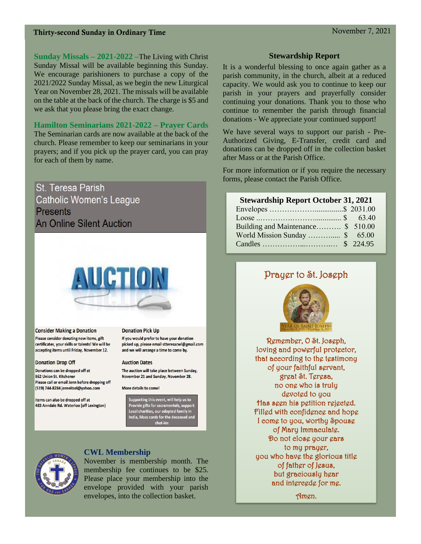**Sunday Missals – 2021-2022 –**The Living with Christ Sunday Missal will be available beginning this Sunday. We encourage parishioners to purchase a copy of the 2021/2022 Sunday Missal, as we begin the new Liturgical Year on November 28, 2021. The missals will be available on the table at the back of the church. The charge is \$5 and we ask that you please bring the exact change.

#### **Hamilton Seminarians 2021-2022 – Prayer Cards**

The Seminarian cards are now available at the back of the church. Please remember to keep our seminarians in your prayers; and if you pick up the prayer card, you can pray for each of them by name.

St. Teresa Parish **Catholic Women's League Presents An Online Silent Auction** 



**Consider Making a Donation** Please consider donating new items, gift certificates, your skills or talents! We will be accepting items until Friday, November 12.

#### **Donation Drop Off**

Donations can be dropped off at 862 Union St. Kitchener Please call or email Jenn before dropping off (519) 744-8284 jenreitzel@yahoo.com

Items can also be dropped off at 483 Anndale Rd. Waterloo (off Lexington)

#### **Donation Pick Up**

If you would prefer to have your donation picked up, please email stteresacwl@gmail.com and we will arrange a time to come by.

#### **Auction Dates**

The auction will take place between Sunday, November 21 and Sunday, November 28.

More details to come!

Supporting this event, will help us to<br>Provide gifts for sacramentals, support<br>Local charities, our adopted family in<br>India, Mass cards for the deceased and shut-ins



#### **CWL Membership**

November is membership month. The membership fee continues to be \$25. Please place your membership into the envelope provided with your parish envelopes, into the collection basket.

#### **Stewardship Report**

It is a wonderful blessing to once again gather as a parish community, in the church, albeit at a reduced capacity. We would ask you to continue to keep our parish in your prayers and prayerfully consider continuing your donations. Thank you to those who continue to remember the parish through financial donations - We appreciate your continued support!

We have several ways to support our parish - Pre-Authorized Giving, E-Transfer, credit card and donations can be dropped off in the collection basket after Mass or at the Parish Office.

For more information or if you require the necessary forms, please contact the Parish Office.

#### **Stewardship Report October 31, 2021**

| Building and Maintenance \$ 510.00 |  |
|------------------------------------|--|
| World Mission Sunday  \$ 65.00     |  |
|                                    |  |

# Prayer to St. Joseph



Remember, O St. Joseph, loving and powerful protector, that according to the testimony of your faithful servant, great St. Teresa, no one who is truly devoted to you Has seen his petition rejected. Filled with confidence and hope I come to you, worthy Spouse of Mary Immaculate. Do not close your ears to my prayer, you who have the glorious title of father of Jesus, but graciously hear and intercede for me.

Amen.